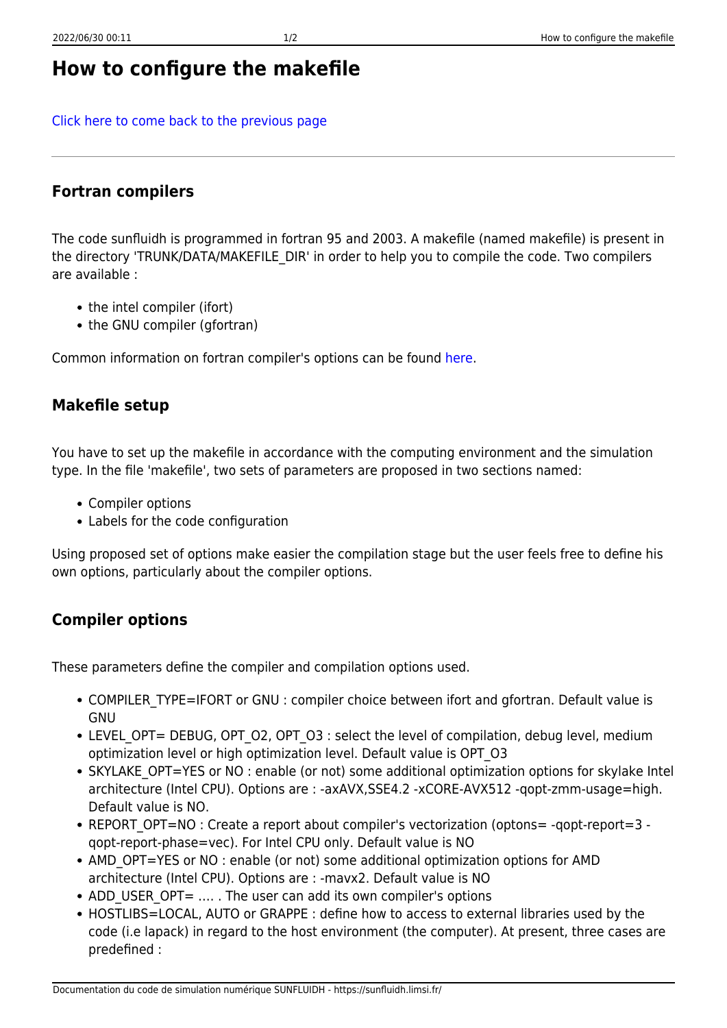# **How to configure the makefile**

[Click here to come back to the previous page](https://sunfluidh.limsi.fr/sunfluidh:sunfluidh_install_limsi)

#### **Fortran compilers**

The code sunfluidh is programmed in fortran 95 and 2003. A makefile (named makefile) is present in the directory 'TRUNK/DATA/MAKEFILE\_DIR' in order to help you to compile the code. Two compilers are available :

- the intel compiler (ifort)
- the GNU compiler (gfortran)

Common information on fortran compiler's options can be found [here](https://p2i.limsi.fr/p2i:environnements_calcul_meca).

### **Makefile setup**

You have to set up the makefile in accordance with the computing environment and the simulation type. In the file 'makefile', two sets of parameters are proposed in two sections named:

- Compiler options
- Labels for the code configuration

Using proposed set of options make easier the compilation stage but the user feels free to define his own options, particularly about the compiler options.

### **Compiler options**

These parameters define the compiler and compilation options used.

- COMPILER TYPE=IFORT or GNU : compiler choice between ifort and gfortran. Default value is GNU
- LEVEL OPT= DEBUG, OPT O2, OPT O3 : select the level of compilation, debug level, medium optimization level or high optimization level. Default value is OPT\_O3
- SKYLAKE OPT=YES or NO : enable (or not) some additional optimization options for skylake Intel architecture (Intel CPU). Options are : -axAVX,SSE4.2 -xCORE-AVX512 -qopt-zmm-usage=high. Default value is NO.
- REPORT OPT=NO : Create a report about compiler's vectorization (optons= -qopt-report=3 qopt-report-phase=vec). For Intel CPU only. Default value is NO
- AMD OPT=YES or NO : enable (or not) some additional optimization options for AMD architecture (Intel CPU). Options are : -mavx2. Default value is NO
- ADD USER OPT= .... . The user can add its own compiler's options
- HOSTLIBS=LOCAL, AUTO or GRAPPE : define how to access to external libraries used by the code (i.e lapack) in regard to the host environment (the computer). At present, three cases are predefined :